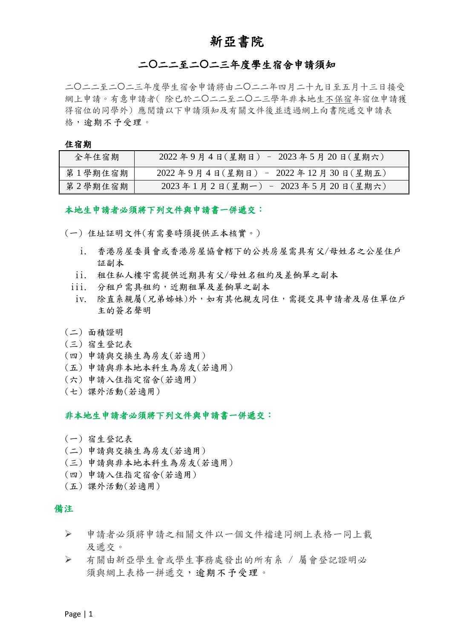# 新亞書院

### 二二二至二二三年度學生宿舍申請須知

二二二至二二三年度學生宿舍申請將由二二二年四月二十九日至五月十三日接受 網上申請。有意申請者(除已於二〇二二至二〇二三學年非本地生不保宿年宿位申請獲 得宿位的同學外) 應閱讀以下申請須知及有關文件後並透過網上向書院遞交申請表 格,逾期不予受理。

#### 住宿期

| 全年住宿期   | 2022年9月4日(星期日) - 2023年5月20日(星期六)  |
|---------|-----------------------------------|
| 第1學期住宿期 | 2022年9月4日(星期日) - 2022年12月30日(星期五) |
| 第2學期住宿期 | 2023年1月2日(星期一) - 2023年5月20日(星期六)  |

#### 本地生申請者必須將下列文件與申請書一併遞交:

(一) 住址証明文件(有需要時須提供正本核實。)

- i. 香港房屋委員會或香港房屋協會轄下的公共房屋需具有父/母姓名之公屋住戶 証副本
- ii. 租住私人樓宇需提供近期具有父/母姓名租約及差餉單之副本
- iii. 分租戶需具租約,近期租單及差餉單之副本
- iv. 除直系親屬(兄弟姊妹)外,如有其他親友同住,需提交具申請者及居住單位戶 主的簽名聲明
- (二) 面積證明
- (三) 宿生登記表
- (四) 申請與交換生為房友(若適用)
- (五) 申請與非本地本科生為房友(若適用)
- (六) 申請入住指定宿舍(若適用)
- (七) 課外活動(若適用)

#### 非本地生申請者必須將下列文件與申請書一併遞交:

- (一) 宿生登記表
- (二) 申請與交換生為房友(若適用)
- (三) 申請與非本地本科生為房友(若適用)
- (四) 申請入住指定宿舍(若適用)
- (五) 課外活動(若適用)

#### 備注

- ➢ 申請者必須將申請之相關文件以一個文件檔連同網上表格一同上載 及遞交。
- ➢ 有關由新亞學生會或學生事務處發出的所有系 / 屬會登記證明必 須與網上表格一拼遞交,逾期不予受理。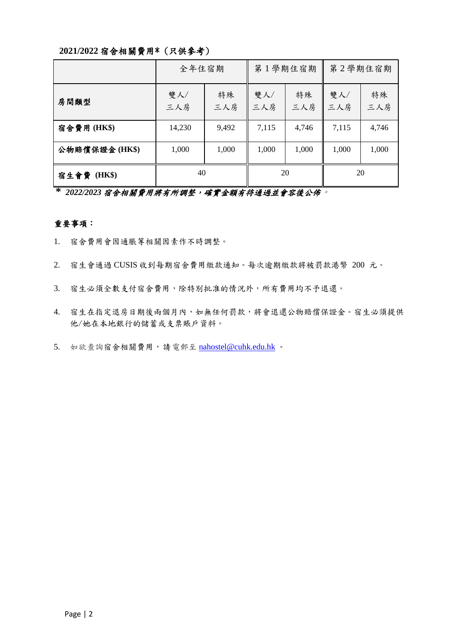#### **2021/2022** 宿舍相關費用\* (只供參考)

|                | 全年住宿期      |           | 第1學期住宿期    |           | 第2學期住宿期    |           |
|----------------|------------|-----------|------------|-----------|------------|-----------|
| 房間類型           | 雙人/<br>三人房 | 特殊<br>三人房 | 雙人/<br>三人房 | 特殊<br>三人房 | 雙人/<br>三人房 | 特殊<br>三人房 |
| 宿舍費用(HK\$)     | 14,230     | 9,492     | 7,115      | 4,746     | 7,115      | 4,746     |
| 公物賠償保證金(HK\$)  | 1,000      | 1,000     | 1,000      | 1,000     | 1,000      | 1,000     |
| 宿生會費<br>(HK\$) | 40         |           | 20         |           | 20         |           |

**\*** *2022/2023* 宿舍相關費用將有所調整,確實金額有待通過並會容後公佈。

#### 重要事項:

- 1. 宿舍費用會因通脹等相關因素作不時調整。
- 2. 宿生會通過 CUSIS 收到每期宿舍費用繳款通知。每次逾期繳款將被罰款港幣 200 元。
- 3. 宿生必須全數支付宿舍費用,除特別批准的情況外,所有費用均不予退還。
- 4. 宿生在指定退房日期後兩個月內,如無任何罰款,將會退還公物賠償保證金。宿生必須提供 他/她在本地銀行的儲蓄或支票賬戶資料。
- 5. 如欲查詢宿舍相關費用,請電郵至 [nahostel@cuhk.edu.hk](mailto:nahostel@cuhk.edu.hk)。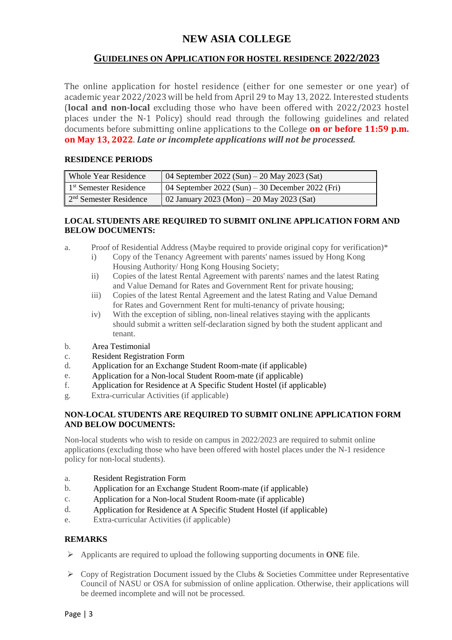# **NEW ASIA COLLEGE**

### **GUIDELINES ON APPLICATION FOR HOSTEL RESIDENCE 2022/2023**

The online application for hostel residence (either for one semester or one year) of academic year 2022/2023 will be held from April 29 to May 13, 2022. Interested students (**local and non-local** excluding those who have been offered with 2022/2023 hostel places under the N-1 Policy) should read through the following guidelines and related documents before submitting online applications to the College **on or before 11:59 p.m. on May 13, 2022**. *Late or incomplete applications will not be processed.*

#### **RESIDENCE PERIODS**

| Whole Year Residence               | 04 September 2022 (Sun) – 20 May 2023 (Sat)      |
|------------------------------------|--------------------------------------------------|
| 1 <sup>st</sup> Semester Residence | 04 September 2022 (Sun) – 30 December 2022 (Fri) |
| 2 <sup>nd</sup> Semester Residence | 02 January 2023 (Mon) – 20 May 2023 (Sat)        |

#### **LOCAL STUDENTS ARE REQUIRED TO SUBMIT ONLINE APPLICATION FORM AND BELOW DOCUMENTS:**

- a. Proof of Residential Address (Maybe required to provide original copy for verification)\*
	- i) Copy of the Tenancy Agreement with parents' names issued by Hong Kong Housing Authority/ Hong Kong Housing Society;
	- ii) Copies of the latest Rental Agreement with parents' names and the latest Rating and Value Demand for Rates and Government Rent for private housing;
	- iii) Copies of the latest Rental Agreement and the latest Rating and Value Demand for Rates and Government Rent for multi-tenancy of private housing;
	- iv) With the exception of sibling, non-lineal relatives staying with the applicants should submit a written self-declaration signed by both the student applicant and tenant.
- b. Area Testimonial
- c. Resident Registration Form
- d. Application for an Exchange Student Room-mate (if applicable)
- e. Application for a Non-local Student Room-mate (if applicable)
- f. Application for Residence at A Specific Student Hostel (if applicable)
- g. Extra-curricular Activities (if applicable)

#### **NON-LOCAL STUDENTS ARE REQUIRED TO SUBMIT ONLINE APPLICATION FORM AND BELOW DOCUMENTS:**

Non-local students who wish to reside on campus in 2022/2023 are required to submit online applications (excluding those who have been offered with hostel places under the N-1 residence policy for non-local students).

- a. Resident Registration Form
- b. Application for an Exchange Student Room-mate (if applicable)
- c. Application for a Non-local Student Room-mate (if applicable)
- d. Application for Residence at A Specific Student Hostel (if applicable)
- e. Extra-curricular Activities (if applicable)

#### **REMARKS**

- ➢ Applicants are required to upload the following supporting documents in **ONE** file.
- $\triangleright$  Copy of Registration Document issued by the Clubs & Societies Committee under Representative Council of NASU or OSA for submission of online application. Otherwise, their applications will be deemed incomplete and will not be processed.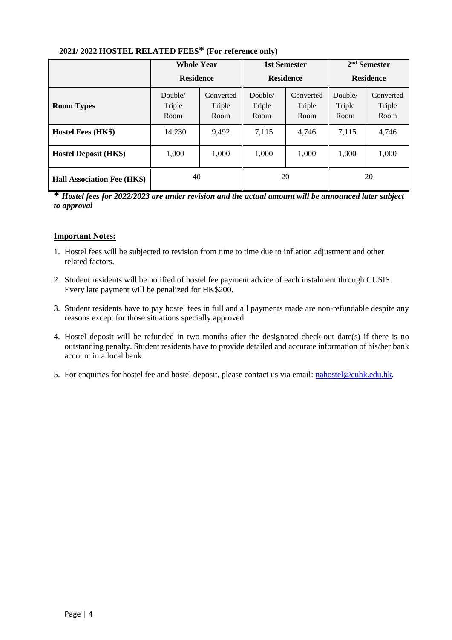|                                    | <b>Whole Year</b><br><b>Residence</b> |                             | <b>1st Semester</b><br><b>Residence</b> |                             | 2 <sup>nd</sup> Semester<br><b>Residence</b> |                             |
|------------------------------------|---------------------------------------|-----------------------------|-----------------------------------------|-----------------------------|----------------------------------------------|-----------------------------|
| <b>Room Types</b>                  | Double/<br>Triple<br>Room             | Converted<br>Triple<br>Room | Double/<br>Triple<br>Room               | Converted<br>Triple<br>Room | Double/<br>Triple<br>Room                    | Converted<br>Triple<br>Room |
| Hostel Fees (HK\$)                 | 14,230                                | 9,492                       | 7,115                                   | 4,746                       | 7,115                                        | 4,746                       |
| <b>Hostel Deposit (HK\$)</b>       | 1,000                                 | 1,000                       | 1,000                                   | 1,000                       | 1,000                                        | 1,000                       |
| <b>Hall Association Fee (HK\$)</b> | 40                                    |                             | 20                                      |                             | 20                                           |                             |

# **2021/ 2022 HOSTEL RELATED FEES\* (For reference only)**

**\*** *Hostel fees for 2022/2023 are under revision and the actual amount will be announced later subject to approval* 

#### **Important Notes:**

- 1. Hostel fees will be subjected to revision from time to time due to inflation adjustment and other related factors.
- 2. Student residents will be notified of hostel fee payment advice of each instalment through CUSIS. Every late payment will be penalized for HK\$200.
- 3. Student residents have to pay hostel fees in full and all payments made are non-refundable despite any reasons except for those situations specially approved.
- 4. Hostel deposit will be refunded in two months after the designated check-out date(s) if there is no outstanding penalty. Student residents have to provide detailed and accurate information of his/her bank account in a local bank.
- 5. For enquiries for hostel fee and hostel deposit, please contact us via email: [nahostel@cuhk.edu.hk.](mailto:nahostel@cuhk.edu.hk)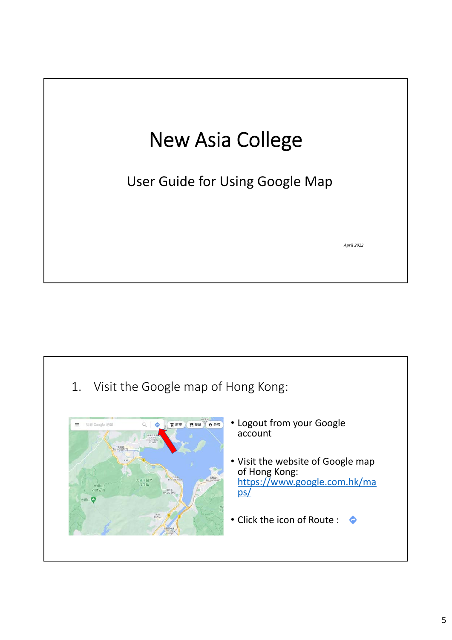# New Asia College

User Guide for Using Google Map

*April 2022*

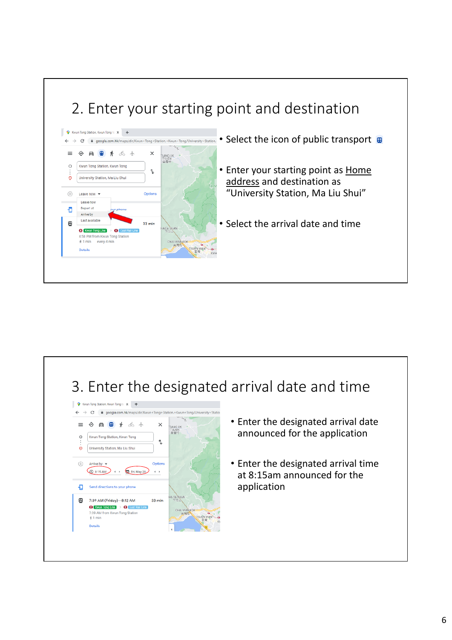# 2. Enter your starting point and destination



- Select the icon of public transport
- Enter your starting point as Home address and destination as "University Station, Ma Liu Shui"
- Select the arrival date and time

# 3. Enter the designated arrival date and time



- Enter the designated arrival date announced for the application
- Enter the designated arrival time at 8:15am announced for the application